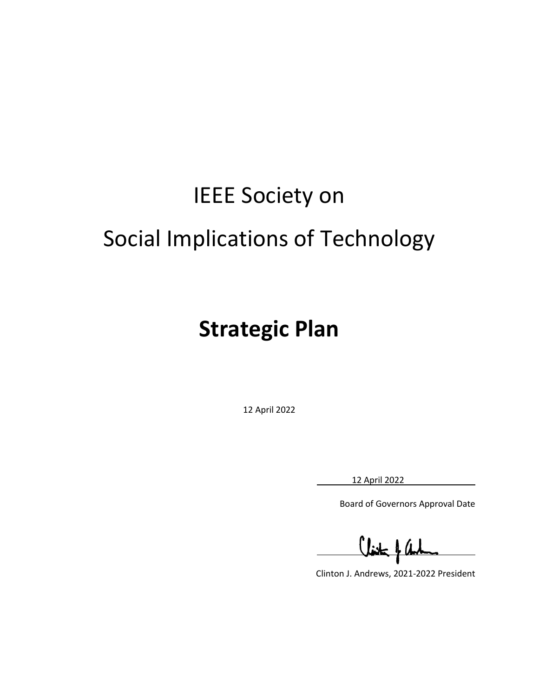# IEEE Society on Social Implications of Technology

## **Strategic Plan**

12 April 2022

12 April 2022

L

Board of Governors Approval Date

Clinton J. Andrews, 2021-2022 President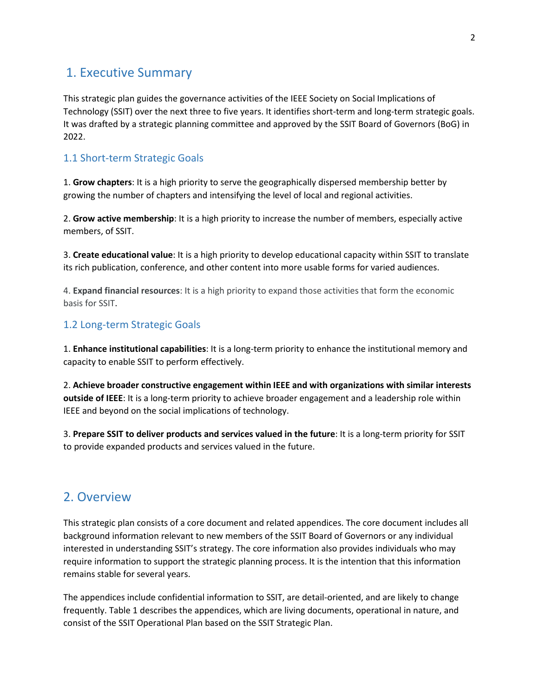## 1. Executive Summary

This strategic plan guides the governance activities of the IEEE Society on Social Implications of Technology (SSIT) over the next three to five years. It identifies short-term and long-term strategic goals. It was drafted by a strategic planning committee and approved by the SSIT Board of Governors (BoG) in 2022.

## 1.1 Short-term Strategic Goals

1. **Grow chapters**: It is a high priority to serve the geographically dispersed membership better by growing the number of chapters and intensifying the level of local and regional activities.

2. **Grow active membership**: It is a high priority to increase the number of members, especially active members, of SSIT.

3. **Create educational value**: It is a high priority to develop educational capacity within SSIT to translate its rich publication, conference, and other content into more usable forms for varied audiences.

4. **Expand financial resources**: It is a high priority to expand those activities that form the economic basis for SSIT.

## 1.2 Long-term Strategic Goals

1. **Enhance institutional capabilities**: It is a long-term priority to enhance the institutional memory and capacity to enable SSIT to perform effectively.

2. **Achieve broader constructive engagement within IEEE and with organizations with similar interests outside of IEEE**: It is a long-term priority to achieve broader engagement and a leadership role within IEEE and beyond on the social implications of technology.

3. **Prepare SSIT to deliver products and services valued in the future**: It is a long-term priority for SSIT to provide expanded products and services valued in the future.

## 2. Overview

This strategic plan consists of a core document and related appendices. The core document includes all background information relevant to new members of the SSIT Board of Governors or any individual interested in understanding SSIT's strategy. The core information also provides individuals who may require information to support the strategic planning process. It is the intention that this information remains stable for several years.

The appendices include confidential information to SSIT, are detail-oriented, and are likely to change frequently. Table 1 describes the appendices, which are living documents, operational in nature, and consist of the SSIT Operational Plan based on the SSIT Strategic Plan.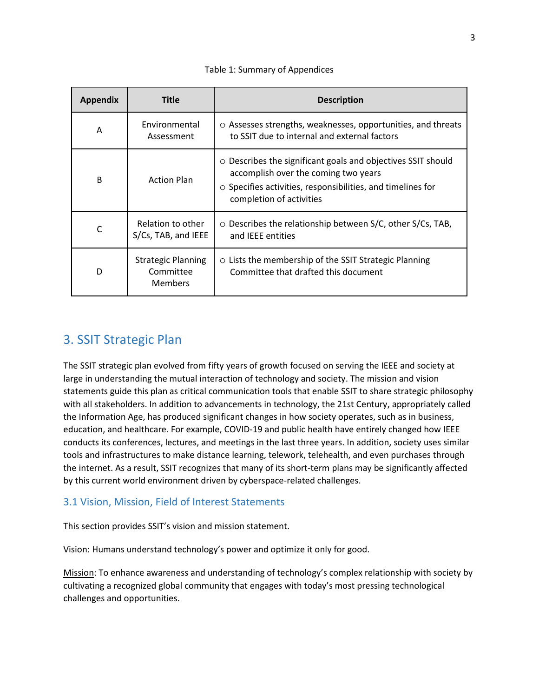#### Table 1: Summary of Appendices

| <b>Appendix</b> | <b>Title</b>                                             | <b>Description</b>                                                                                                                                                                                          |
|-----------------|----------------------------------------------------------|-------------------------------------------------------------------------------------------------------------------------------------------------------------------------------------------------------------|
| Α               | Environmental<br>Assessment                              | O Assesses strengths, weaknesses, opportunities, and threats<br>to SSIT due to internal and external factors                                                                                                |
| B               | <b>Action Plan</b>                                       | $\circ$ Describes the significant goals and objectives SSIT should<br>accomplish over the coming two years<br>$\circ$ Specifies activities, responsibilities, and timelines for<br>completion of activities |
| $\mathsf{C}$    | Relation to other<br>S/Cs, TAB, and IEEE                 | ○ Describes the relationship between S/C, other S/Cs, TAB,<br>and IEEE entities                                                                                                                             |
| D               | <b>Strategic Planning</b><br>Committee<br><b>Members</b> | O Lists the membership of the SSIT Strategic Planning<br>Committee that drafted this document                                                                                                               |

## 3. SSIT Strategic Plan

The SSIT strategic plan evolved from fifty years of growth focused on serving the IEEE and society at large in understanding the mutual interaction of technology and society. The mission and vision statements guide this plan as critical communication tools that enable SSIT to share strategic philosophy with all stakeholders. In addition to advancements in technology, the 21st Century, appropriately called the Information Age, has produced significant changes in how society operates, such as in business, education, and healthcare. For example, COVID-19 and public health have entirely changed how IEEE conducts its conferences, lectures, and meetings in the last three years. In addition, society uses similar tools and infrastructures to make distance learning, telework, telehealth, and even purchases through the internet. As a result, SSIT recognizes that many of its short-term plans may be significantly affected by this current world environment driven by cyberspace-related challenges.

## 3.1 Vision, Mission, Field of Interest Statements

This section provides SSIT's vision and mission statement.

Vision: Humans understand technology's power and optimize it only for good.

Mission: To enhance awareness and understanding of technology's complex relationship with society by cultivating a recognized global community that engages with today's most pressing technological challenges and opportunities.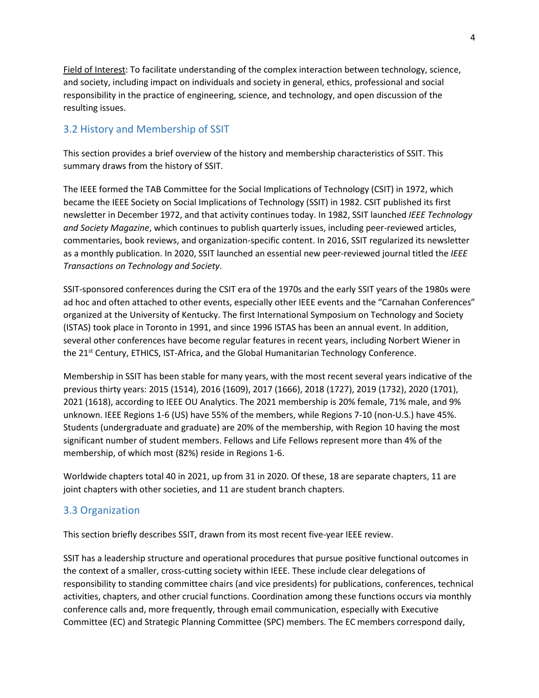Field of Interest: To facilitate understanding of the complex interaction between technology, science, and society, including impact on individuals and society in general, ethics, professional and social responsibility in the practice of engineering, science, and technology, and open discussion of the resulting issues.

## 3.2 History and Membership of SSIT

This section provides a brief overview of the history and membership characteristics of SSIT. This summary draws from the history of SSIT.

The IEEE formed the TAB Committee for the Social Implications of Technology (CSIT) in 1972, which became the IEEE Society on Social Implications of Technology (SSIT) in 1982. CSIT published its first newsletter in December 1972, and that activity continues today. In 1982, SSIT launched *IEEE Technology and Society Magazine*, which continues to publish quarterly issues, including peer-reviewed articles, commentaries, book reviews, and organization-specific content. In 2016, SSIT regularized its newsletter as a monthly publication. In 2020, SSIT launched an essential new peer-reviewed journal titled the *IEEE Transactions on Technology and Society*.

SSIT-sponsored conferences during the CSIT era of the 1970s and the early SSIT years of the 1980s were ad hoc and often attached to other events, especially other IEEE events and the "Carnahan Conferences" organized at the University of Kentucky. The first International Symposium on Technology and Society (ISTAS) took place in Toronto in 1991, and since 1996 ISTAS has been an annual event. In addition, several other conferences have become regular features in recent years, including Norbert Wiener in the 21<sup>st</sup> Century, ETHICS, IST-Africa, and the Global Humanitarian Technology Conference.

Membership in SSIT has been stable for many years, with the most recent several years indicative of the previous thirty years: 2015 (1514), 2016 (1609), 2017 (1666), 2018 (1727), 2019 (1732), 2020 (1701), 2021 (1618), according to IEEE OU Analytics. The 2021 membership is 20% female, 71% male, and 9% unknown. IEEE Regions 1-6 (US) have 55% of the members, while Regions 7-10 (non-U.S.) have 45%. Students (undergraduate and graduate) are 20% of the membership, with Region 10 having the most significant number of student members. Fellows and Life Fellows represent more than 4% of the membership, of which most (82%) reside in Regions 1-6.

Worldwide chapters total 40 in 2021, up from 31 in 2020. Of these, 18 are separate chapters, 11 are joint chapters with other societies, and 11 are student branch chapters.

## 3.3 Organization

This section briefly describes SSIT, drawn from its most recent five-year IEEE review.

SSIT has a leadership structure and operational procedures that pursue positive functional outcomes in the context of a smaller, cross-cutting society within IEEE. These include clear delegations of responsibility to standing committee chairs (and vice presidents) for publications, conferences, technical activities, chapters, and other crucial functions. Coordination among these functions occurs via monthly conference calls and, more frequently, through email communication, especially with Executive Committee (EC) and Strategic Planning Committee (SPC) members. The EC members correspond daily,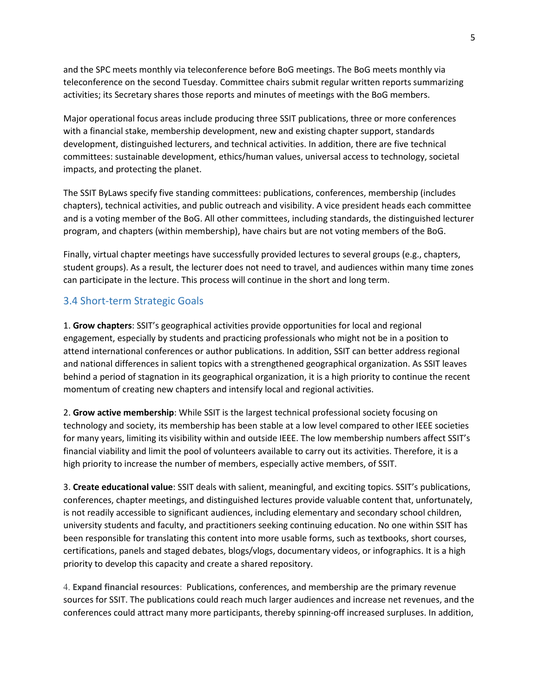and the SPC meets monthly via teleconference before BoG meetings. The BoG meets monthly via teleconference on the second Tuesday. Committee chairs submit regular written reports summarizing activities; its Secretary shares those reports and minutes of meetings with the BoG members.

Major operational focus areas include producing three SSIT publications, three or more conferences with a financial stake, membership development, new and existing chapter support, standards development, distinguished lecturers, and technical activities. In addition, there are five technical committees: sustainable development, ethics/human values, universal access to technology, societal impacts, and protecting the planet.

The SSIT ByLaws specify five standing committees: publications, conferences, membership (includes chapters), technical activities, and public outreach and visibility. A vice president heads each committee and is a voting member of the BoG. All other committees, including standards, the distinguished lecturer program, and chapters (within membership), have chairs but are not voting members of the BoG.

Finally, virtual chapter meetings have successfully provided lectures to several groups (e.g., chapters, student groups). As a result, the lecturer does not need to travel, and audiences within many time zones can participate in the lecture. This process will continue in the short and long term.

## 3.4 Short-term Strategic Goals

1. **Grow chapters**: SSIT's geographical activities provide opportunities for local and regional engagement, especially by students and practicing professionals who might not be in a position to attend international conferences or author publications. In addition, SSIT can better address regional and national differences in salient topics with a strengthened geographical organization. As SSIT leaves behind a period of stagnation in its geographical organization, it is a high priority to continue the recent momentum of creating new chapters and intensify local and regional activities.

2. **Grow active membership**: While SSIT is the largest technical professional society focusing on technology and society, its membership has been stable at a low level compared to other IEEE societies for many years, limiting its visibility within and outside IEEE. The low membership numbers affect SSIT's financial viability and limit the pool of volunteers available to carry out its activities. Therefore, it is a high priority to increase the number of members, especially active members, of SSIT.

3. **Create educational value**: SSIT deals with salient, meaningful, and exciting topics. SSIT's publications, conferences, chapter meetings, and distinguished lectures provide valuable content that, unfortunately, is not readily accessible to significant audiences, including elementary and secondary school children, university students and faculty, and practitioners seeking continuing education. No one within SSIT has been responsible for translating this content into more usable forms, such as textbooks, short courses, certifications, panels and staged debates, blogs/vlogs, documentary videos, or infographics. It is a high priority to develop this capacity and create a shared repository.

4. **Expand financial resources**: Publications, conferences, and membership are the primary revenue sources for SSIT. The publications could reach much larger audiences and increase net revenues, and the conferences could attract many more participants, thereby spinning-off increased surpluses. In addition,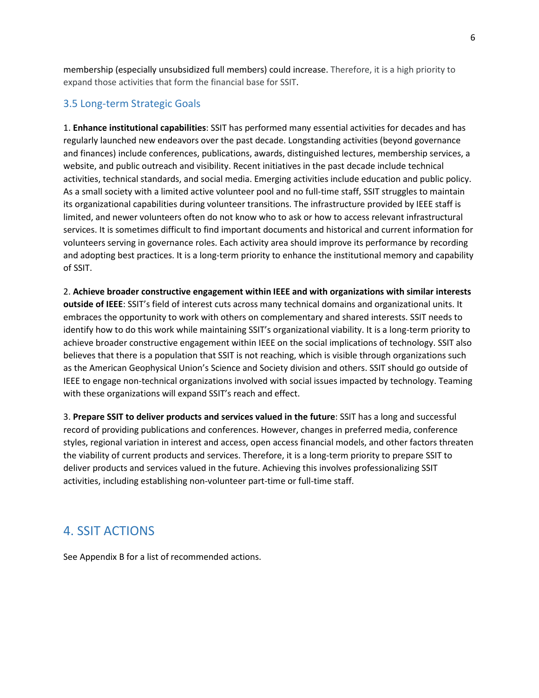membership (especially unsubsidized full members) could increase. Therefore, it is a high priority to expand those activities that form the financial base for SSIT.

## 3.5 Long-term Strategic Goals

1. **Enhance institutional capabilities**: SSIT has performed many essential activities for decades and has regularly launched new endeavors over the past decade. Longstanding activities (beyond governance and finances) include conferences, publications, awards, distinguished lectures, membership services, a website, and public outreach and visibility. Recent initiatives in the past decade include technical activities, technical standards, and social media. Emerging activities include education and public policy. As a small society with a limited active volunteer pool and no full-time staff, SSIT struggles to maintain its organizational capabilities during volunteer transitions. The infrastructure provided by IEEE staff is limited, and newer volunteers often do not know who to ask or how to access relevant infrastructural services. It is sometimes difficult to find important documents and historical and current information for volunteers serving in governance roles. Each activity area should improve its performance by recording and adopting best practices. It is a long-term priority to enhance the institutional memory and capability of SSIT.

2. **Achieve broader constructive engagement within IEEE and with organizations with similar interests outside of IEEE**: SSIT's field of interest cuts across many technical domains and organizational units. It embraces the opportunity to work with others on complementary and shared interests. SSIT needs to identify how to do this work while maintaining SSIT's organizational viability. It is a long-term priority to achieve broader constructive engagement within IEEE on the social implications of technology. SSIT also believes that there is a population that SSIT is not reaching, which is visible through organizations such as the American Geophysical Union's Science and Society division and others. SSIT should go outside of IEEE to engage non-technical organizations involved with social issues impacted by technology. Teaming with these organizations will expand SSIT's reach and effect.

3. **Prepare SSIT to deliver products and services valued in the future**: SSIT has a long and successful record of providing publications and conferences. However, changes in preferred media, conference styles, regional variation in interest and access, open access financial models, and other factors threaten the viability of current products and services. Therefore, it is a long-term priority to prepare SSIT to deliver products and services valued in the future. Achieving this involves professionalizing SSIT activities, including establishing non-volunteer part-time or full-time staff.

## 4. SSIT ACTIONS

See Appendix B for a list of recommended actions.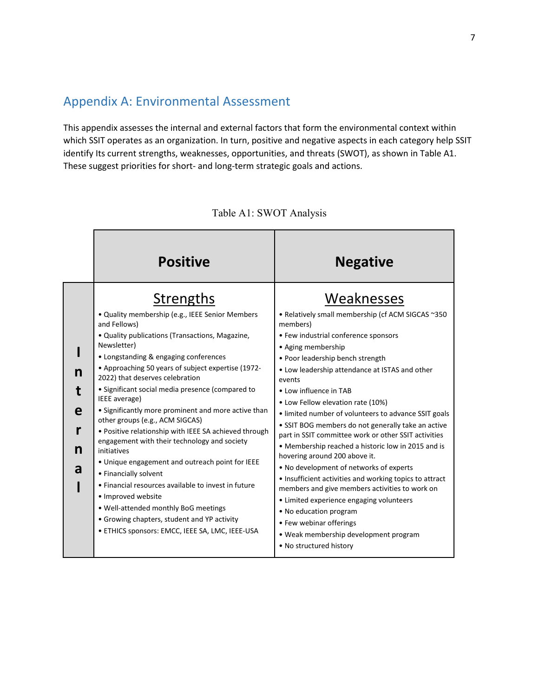## Appendix A: Environmental Assessment

This appendix assesses the internal and external factors that form the environmental context within which SSIT operates as an organization. In turn, positive and negative aspects in each category help SSIT identify Its current strengths, weaknesses, opportunities, and threats (SWOT), as shown in Table A1. These suggest priorities for short- and long-term strategic goals and actions.

|                  | <b>Positive</b>                                                                                                                                                                                                                                                                                                                                                                                                                                                                                                                                                                                                                                                                                                                                                                                                                                                            | <b>Negative</b>                                                                                                                                                                                                                                                                                                                                                                                                                                                                                                                                                                                                                                                                                                                                                                                                                                                                                    |
|------------------|----------------------------------------------------------------------------------------------------------------------------------------------------------------------------------------------------------------------------------------------------------------------------------------------------------------------------------------------------------------------------------------------------------------------------------------------------------------------------------------------------------------------------------------------------------------------------------------------------------------------------------------------------------------------------------------------------------------------------------------------------------------------------------------------------------------------------------------------------------------------------|----------------------------------------------------------------------------------------------------------------------------------------------------------------------------------------------------------------------------------------------------------------------------------------------------------------------------------------------------------------------------------------------------------------------------------------------------------------------------------------------------------------------------------------------------------------------------------------------------------------------------------------------------------------------------------------------------------------------------------------------------------------------------------------------------------------------------------------------------------------------------------------------------|
| n<br>e<br>n<br>a | Strengths<br>• Quality membership (e.g., IEEE Senior Members<br>and Fellows)<br>• Quality publications (Transactions, Magazine,<br>Newsletter)<br>• Longstanding & engaging conferences<br>• Approaching 50 years of subject expertise (1972-<br>2022) that deserves celebration<br>• Significant social media presence (compared to<br>IEEE average)<br>• Significantly more prominent and more active than<br>other groups (e.g., ACM SIGCAS)<br>• Positive relationship with IEEE SA achieved through<br>engagement with their technology and society<br>initiatives<br>• Unique engagement and outreach point for IEEE<br>• Financially solvent<br>• Financial resources available to invest in future<br>· Improved website<br>. Well-attended monthly BoG meetings<br>• Growing chapters, student and YP activity<br>· ETHICS sponsors: EMCC, IEEE SA, LMC, IEEE-USA | Weaknesses<br>• Relatively small membership (cf ACM SIGCAS ~350<br>members)<br>• Few industrial conference sponsors<br>• Aging membership<br>• Poor leadership bench strength<br>• Low leadership attendance at ISTAS and other<br>events<br>• Low influence in TAB<br>• Low Fellow elevation rate (10%)<br>• limited number of volunteers to advance SSIT goals<br>• SSIT BOG members do not generally take an active<br>part in SSIT committee work or other SSIT activities<br>• Membership reached a historic low in 2015 and is<br>hovering around 200 above it.<br>• No development of networks of experts<br>• Insufficient activities and working topics to attract<br>members and give members activities to work on<br>• Limited experience engaging volunteers<br>• No education program<br>• Few webinar offerings<br>• Weak membership development program<br>• No structured history |

## Table A1: SWOT Analysis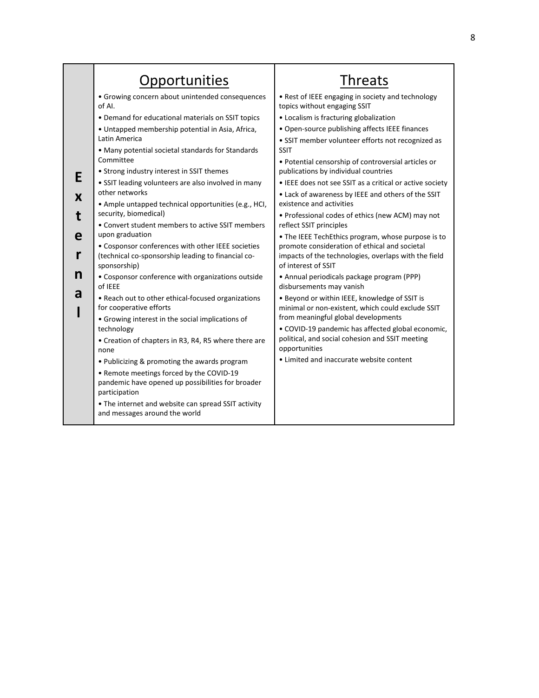|        | Opportunities                                                                                                                                                                                                                                                                                                                                                                                                                                                                                                                                                                                                                                                                                                           | <b>Threats</b>                                                                                                                                                                                                    |
|--------|-------------------------------------------------------------------------------------------------------------------------------------------------------------------------------------------------------------------------------------------------------------------------------------------------------------------------------------------------------------------------------------------------------------------------------------------------------------------------------------------------------------------------------------------------------------------------------------------------------------------------------------------------------------------------------------------------------------------------|-------------------------------------------------------------------------------------------------------------------------------------------------------------------------------------------------------------------|
|        | · Growing concern about unintended consequences<br>of AI.                                                                                                                                                                                                                                                                                                                                                                                                                                                                                                                                                                                                                                                               | . Rest of IEEE engaging in society and technology<br>topics without engaging SSIT                                                                                                                                 |
|        | • Demand for educational materials on SSIT topics<br>• Untapped membership potential in Asia, Africa,<br>Latin America<br>• Many potential societal standards for Standards<br>Committee<br>• Strong industry interest in SSIT themes<br>· SSIT leading volunteers are also involved in many<br>other networks<br>• Ample untapped technical opportunities (e.g., HCI,<br>security, biomedical)<br>• Convert student members to active SSIT members<br>upon graduation<br>• Cosponsor conferences with other IEEE societies<br>(technical co-sponsorship leading to financial co-<br>sponsorship)<br>• Cosponsor conference with organizations outside<br>of IEEE<br>. Reach out to other ethical-focused organizations | • Localism is fracturing globalization<br>• Open-source publishing affects IEEE finances<br>• SSIT member volunteer efforts not recognized as                                                                     |
| Е      |                                                                                                                                                                                                                                                                                                                                                                                                                                                                                                                                                                                                                                                                                                                         | <b>SSIT</b><br>• Potential censorship of controversial articles or<br>publications by individual countries                                                                                                        |
| X      |                                                                                                                                                                                                                                                                                                                                                                                                                                                                                                                                                                                                                                                                                                                         | • IEEE does not see SSIT as a critical or active society<br>• Lack of awareness by IEEE and others of the SSIT<br>existence and activities                                                                        |
| e      |                                                                                                                                                                                                                                                                                                                                                                                                                                                                                                                                                                                                                                                                                                                         | • Professional codes of ethics (new ACM) may not<br>reflect SSIT principles<br>• The IEEE TechEthics program, whose purpose is to                                                                                 |
| r<br>n |                                                                                                                                                                                                                                                                                                                                                                                                                                                                                                                                                                                                                                                                                                                         | promote consideration of ethical and societal<br>impacts of the technologies, overlaps with the field<br>of interest of SSIT                                                                                      |
| a      |                                                                                                                                                                                                                                                                                                                                                                                                                                                                                                                                                                                                                                                                                                                         | • Annual periodicals package program (PPP)<br>disbursements may vanish<br>. Beyond or within IEEE, knowledge of SSIT is                                                                                           |
|        | for cooperative efforts<br>• Growing interest in the social implications of<br>technology<br>• Creation of chapters in R3, R4, R5 where there are<br>none                                                                                                                                                                                                                                                                                                                                                                                                                                                                                                                                                               | minimal or non-existent, which could exclude SSIT<br>from meaningful global developments<br>• COVID-19 pandemic has affected global economic,<br>political, and social cohesion and SSIT meeting<br>opportunities |
|        | • Publicizing & promoting the awards program<br>• Remote meetings forced by the COVID-19<br>pandemic have opened up possibilities for broader<br>participation<br>• The internet and website can spread SSIT activity<br>and messages around the world                                                                                                                                                                                                                                                                                                                                                                                                                                                                  | • Limited and inaccurate website content                                                                                                                                                                          |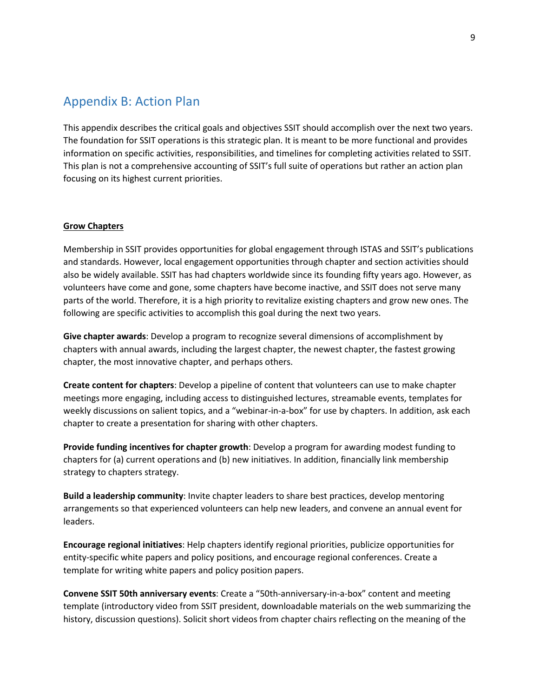## Appendix B: Action Plan

This appendix describes the critical goals and objectives SSIT should accomplish over the next two years. The foundation for SSIT operations is this strategic plan. It is meant to be more functional and provides information on specific activities, responsibilities, and timelines for completing activities related to SSIT. This plan is not a comprehensive accounting of SSIT's full suite of operations but rather an action plan focusing on its highest current priorities.

#### **Grow Chapters**

Membership in SSIT provides opportunities for global engagement through ISTAS and SSIT's publications and standards. However, local engagement opportunities through chapter and section activities should also be widely available. SSIT has had chapters worldwide since its founding fifty years ago. However, as volunteers have come and gone, some chapters have become inactive, and SSIT does not serve many parts of the world. Therefore, it is a high priority to revitalize existing chapters and grow new ones. The following are specific activities to accomplish this goal during the next two years.

**Give chapter awards**: Develop a program to recognize several dimensions of accomplishment by chapters with annual awards, including the largest chapter, the newest chapter, the fastest growing chapter, the most innovative chapter, and perhaps others.

**Create content for chapters**: Develop a pipeline of content that volunteers can use to make chapter meetings more engaging, including access to distinguished lectures, streamable events, templates for weekly discussions on salient topics, and a "webinar-in-a-box" for use by chapters. In addition, ask each chapter to create a presentation for sharing with other chapters.

**Provide funding incentives for chapter growth**: Develop a program for awarding modest funding to chapters for (a) current operations and (b) new initiatives. In addition, financially link membership strategy to chapters strategy.

**Build a leadership community**: Invite chapter leaders to share best practices, develop mentoring arrangements so that experienced volunteers can help new leaders, and convene an annual event for leaders.

**Encourage regional initiatives**: Help chapters identify regional priorities, publicize opportunities for entity-specific white papers and policy positions, and encourage regional conferences. Create a template for writing white papers and policy position papers.

**Convene SSIT 50th anniversary events**: Create a "50th-anniversary-in-a-box" content and meeting template (introductory video from SSIT president, downloadable materials on the web summarizing the history, discussion questions). Solicit short videos from chapter chairs reflecting on the meaning of the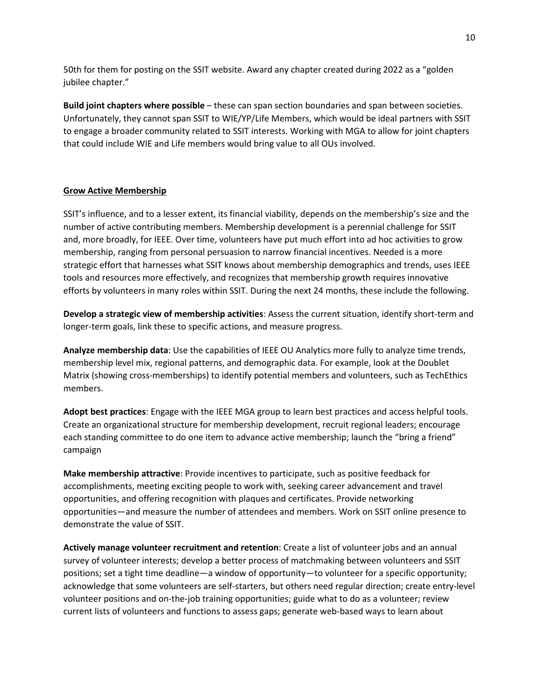50th for them for posting on the SSIT website. Award any chapter created during 2022 as a "golden jubilee chapter."

**Build joint chapters where possible** – these can span section boundaries and span between societies. Unfortunately, they cannot span SSIT to WIE/YP/Life Members, which would be ideal partners with SSIT to engage a broader community related to SSIT interests. Working with MGA to allow for joint chapters that could include WIE and Life members would bring value to all OUs involved.

#### **Grow Active Membership**

SSIT's influence, and to a lesser extent, its financial viability, depends on the membership's size and the number of active contributing members. Membership development is a perennial challenge for SSIT and, more broadly, for IEEE. Over time, volunteers have put much effort into ad hoc activities to grow membership, ranging from personal persuasion to narrow financial incentives. Needed is a more strategic effort that harnesses what SSIT knows about membership demographics and trends, uses IEEE tools and resources more effectively, and recognizes that membership growth requires innovative efforts by volunteers in many roles within SSIT. During the next 24 months, these include the following.

**Develop a strategic view of membership activities**: Assess the current situation, identify short-term and longer-term goals, link these to specific actions, and measure progress.

**Analyze membership data**: Use the capabilities of IEEE OU Analytics more fully to analyze time trends, membership level mix, regional patterns, and demographic data. For example, look at the Doublet Matrix (showing cross-memberships) to identify potential members and volunteers, such as TechEthics members.

**Adopt best practices**: Engage with the IEEE MGA group to learn best practices and access helpful tools. Create an organizational structure for membership development, recruit regional leaders; encourage each standing committee to do one item to advance active membership; launch the "bring a friend" campaign

**Make membership attractive**: Provide incentives to participate, such as positive feedback for accomplishments, meeting exciting people to work with, seeking career advancement and travel opportunities, and offering recognition with plaques and certificates. Provide networking opportunities—and measure the number of attendees and members. Work on SSIT online presence to demonstrate the value of SSIT.

**Actively manage volunteer recruitment and retention**: Create a list of volunteer jobs and an annual survey of volunteer interests; develop a better process of matchmaking between volunteers and SSIT positions; set a tight time deadline—a window of opportunity—to volunteer for a specific opportunity; acknowledge that some volunteers are self-starters, but others need regular direction; create entry-level volunteer positions and on-the-job training opportunities; guide what to do as a volunteer; review current lists of volunteers and functions to assess gaps; generate web-based ways to learn about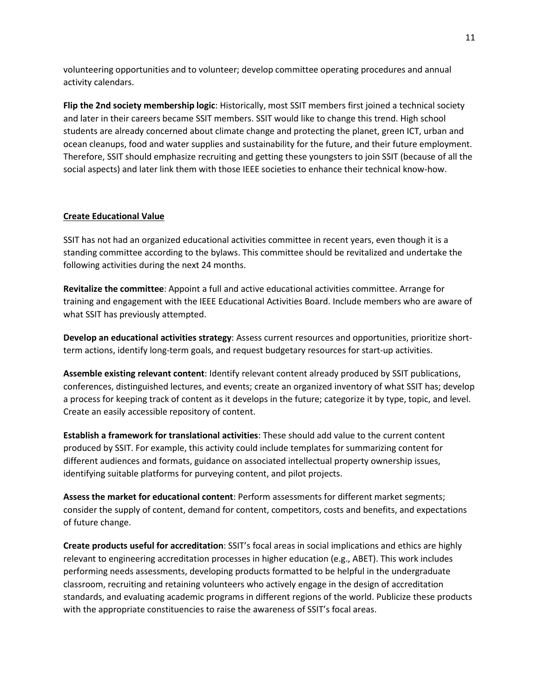volunteering opportunities and to volunteer; develop committee operating procedures and annual activity calendars.

**Flip the 2nd society membership logic**: Historically, most SSIT members first joined a technical society and later in their careers became SSIT members. SSIT would like to change this trend. High school students are already concerned about climate change and protecting the planet, green ICT, urban and ocean cleanups, food and water supplies and sustainability for the future, and their future employment. Therefore, SSIT should emphasize recruiting and getting these youngsters to join SSIT (because of all the social aspects) and later link them with those IEEE societies to enhance their technical know-how.

## **Create Educational Value**

SSIT has not had an organized educational activities committee in recent years, even though it is a standing committee according to the bylaws. This committee should be revitalized and undertake the following activities during the next 24 months.

**Revitalize the committee**: Appoint a full and active educational activities committee. Arrange for training and engagement with the IEEE Educational Activities Board. Include members who are aware of what SSIT has previously attempted.

**Develop an educational activities strategy**: Assess current resources and opportunities, prioritize shortterm actions, identify long-term goals, and request budgetary resources for start-up activities.

**Assemble existing relevant content**: Identify relevant content already produced by SSIT publications, conferences, distinguished lectures, and events; create an organized inventory of what SSIT has; develop a process for keeping track of content as it develops in the future; categorize it by type, topic, and level. Create an easily accessible repository of content.

**Establish a framework for translational activities**: These should add value to the current content produced by SSIT. For example, this activity could include templates for summarizing content for different audiences and formats, guidance on associated intellectual property ownership issues, identifying suitable platforms for purveying content, and pilot projects.

**Assess the market for educational content**: Perform assessments for different market segments; consider the supply of content, demand for content, competitors, costs and benefits, and expectations of future change.

**Create products useful for accreditation**: SSIT's focal areas in social implications and ethics are highly relevant to engineering accreditation processes in higher education (e.g., ABET). This work includes performing needs assessments, developing products formatted to be helpful in the undergraduate classroom, recruiting and retaining volunteers who actively engage in the design of accreditation standards, and evaluating academic programs in different regions of the world. Publicize these products with the appropriate constituencies to raise the awareness of SSIT's focal areas.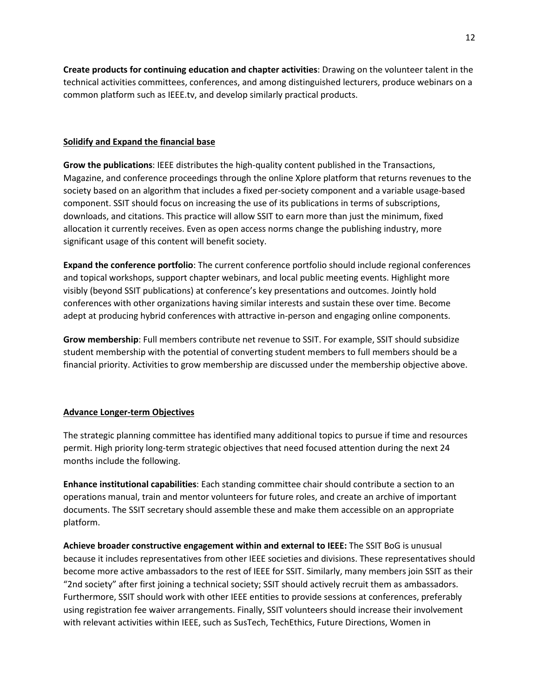**Create products for continuing education and chapter activities**: Drawing on the volunteer talent in the technical activities committees, conferences, and among distinguished lecturers, produce webinars on a common platform such as IEEE.tv, and develop similarly practical products.

#### **Solidify and Expand the financial base**

**Grow the publications**: IEEE distributes the high-quality content published in the Transactions, Magazine, and conference proceedings through the online Xplore platform that returns revenues to the society based on an algorithm that includes a fixed per-society component and a variable usage-based component. SSIT should focus on increasing the use of its publications in terms of subscriptions, downloads, and citations. This practice will allow SSIT to earn more than just the minimum, fixed allocation it currently receives. Even as open access norms change the publishing industry, more significant usage of this content will benefit society.

**Expand the conference portfolio**: The current conference portfolio should include regional conferences and topical workshops, support chapter webinars, and local public meeting events. Highlight more visibly (beyond SSIT publications) at conference's key presentations and outcomes. Jointly hold conferences with other organizations having similar interests and sustain these over time. Become adept at producing hybrid conferences with attractive in-person and engaging online components.

**Grow membership**: Full members contribute net revenue to SSIT. For example, SSIT should subsidize student membership with the potential of converting student members to full members should be a financial priority. Activities to grow membership are discussed under the membership objective above.

#### **Advance Longer-term Objectives**

The strategic planning committee has identified many additional topics to pursue if time and resources permit. High priority long-term strategic objectives that need focused attention during the next 24 months include the following.

**Enhance institutional capabilities**: Each standing committee chair should contribute a section to an operations manual, train and mentor volunteers for future roles, and create an archive of important documents. The SSIT secretary should assemble these and make them accessible on an appropriate platform.

**Achieve broader constructive engagement within and external to IEEE:** The SSIT BoG is unusual because it includes representatives from other IEEE societies and divisions. These representatives should become more active ambassadors to the rest of IEEE for SSIT. Similarly, many members join SSIT as their "2nd society" after first joining a technical society; SSIT should actively recruit them as ambassadors. Furthermore, SSIT should work with other IEEE entities to provide sessions at conferences, preferably using registration fee waiver arrangements. Finally, SSIT volunteers should increase their involvement with relevant activities within IEEE, such as SusTech, TechEthics, Future Directions, Women in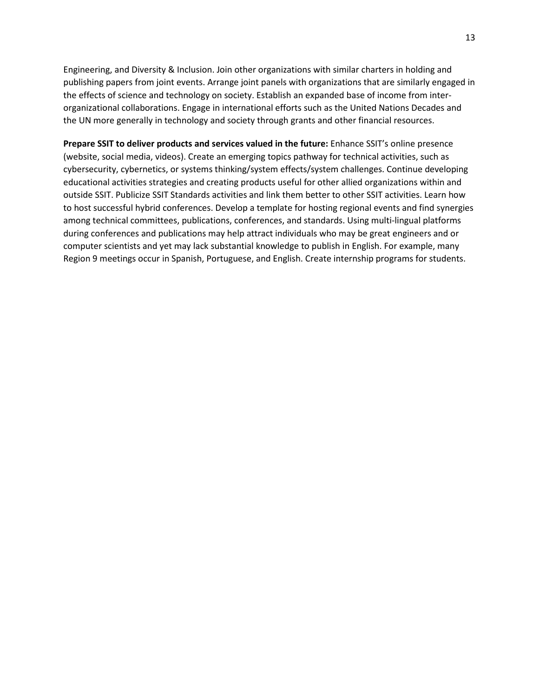Engineering, and Diversity & Inclusion. Join other organizations with similar charters in holding and publishing papers from joint events. Arrange joint panels with organizations that are similarly engaged in the effects of science and technology on society. Establish an expanded base of income from interorganizational collaborations. Engage in international efforts such as the United Nations Decades and the UN more generally in technology and society through grants and other financial resources.

**Prepare SSIT to deliver products and services valued in the future:** Enhance SSIT's online presence (website, social media, videos). Create an emerging topics pathway for technical activities, such as cybersecurity, cybernetics, or systems thinking/system effects/system challenges. Continue developing educational activities strategies and creating products useful for other allied organizations within and outside SSIT. Publicize SSIT Standards activities and link them better to other SSIT activities. Learn how to host successful hybrid conferences. Develop a template for hosting regional events and find synergies among technical committees, publications, conferences, and standards. Using multi-lingual platforms during conferences and publications may help attract individuals who may be great engineers and or computer scientists and yet may lack substantial knowledge to publish in English. For example, many Region 9 meetings occur in Spanish, Portuguese, and English. Create internship programs for students.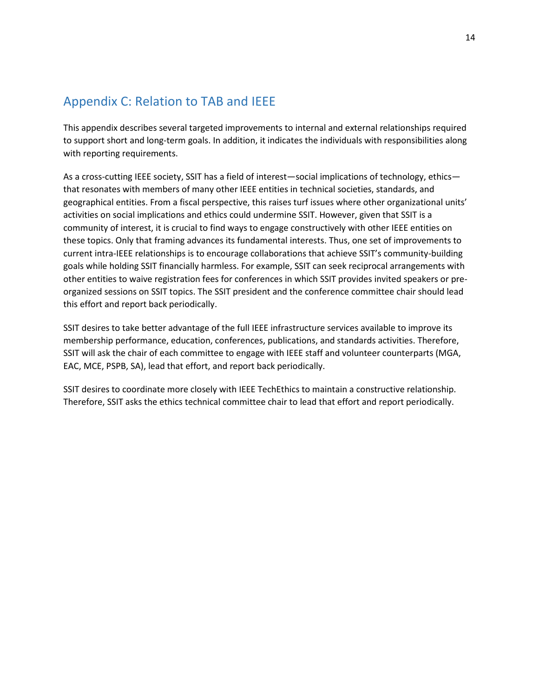## Appendix C: Relation to TAB and IEEE

This appendix describes several targeted improvements to internal and external relationships required to support short and long-term goals. In addition, it indicates the individuals with responsibilities along with reporting requirements.

As a cross-cutting IEEE society, SSIT has a field of interest—social implications of technology, ethics that resonates with members of many other IEEE entities in technical societies, standards, and geographical entities. From a fiscal perspective, this raises turf issues where other organizational units' activities on social implications and ethics could undermine SSIT. However, given that SSIT is a community of interest, it is crucial to find ways to engage constructively with other IEEE entities on these topics. Only that framing advances its fundamental interests. Thus, one set of improvements to current intra-IEEE relationships is to encourage collaborations that achieve SSIT's community-building goals while holding SSIT financially harmless. For example, SSIT can seek reciprocal arrangements with other entities to waive registration fees for conferences in which SSIT provides invited speakers or preorganized sessions on SSIT topics. The SSIT president and the conference committee chair should lead this effort and report back periodically.

SSIT desires to take better advantage of the full IEEE infrastructure services available to improve its membership performance, education, conferences, publications, and standards activities. Therefore, SSIT will ask the chair of each committee to engage with IEEE staff and volunteer counterparts (MGA, EAC, MCE, PSPB, SA), lead that effort, and report back periodically.

SSIT desires to coordinate more closely with IEEE TechEthics to maintain a constructive relationship. Therefore, SSIT asks the ethics technical committee chair to lead that effort and report periodically.